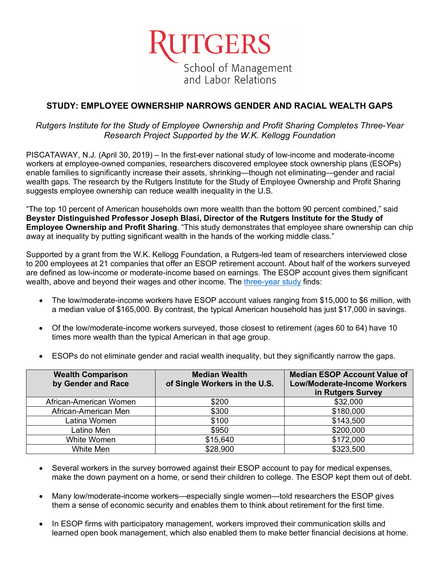

# **STUDY: EMPLOYEE OWNERSHIP NARROWS GENDER AND RACIAL WEALTH GAPS**

*Rutgers Institute for the Study of Employee Ownership and Profit Sharing Completes Three-Year Research Project Supported by the W.K. Kellogg Foundation*

PISCATAWAY, N.J. (April 30, 2019) – In the first-ever national study of low-income and moderate-income workers at employee-owned companies, researchers discovered employee stock ownership plans (ESOPs) enable families to significantly increase their assets, shrinking—though not eliminating—gender and racial wealth gaps. The research by the Rutgers Institute for the Study of Employee Ownership and Profit Sharing suggests employee ownership can reduce wealth inequality in the U.S.

"The top 10 percent of American households own more wealth than the bottom 90 percent combined," said **Beyster Distinguished Professor Joseph Blasi, Director of the Rutgers Institute for the Study of Employee Ownership and Profit Sharing**. "This study demonstrates that employee share ownership can chip away at inequality by putting significant wealth in the hands of the working middle class."

Supported by a grant from the W.K. Kellogg Foundation, a Rutgers-led team of researchers interviewed close to 200 employees at 21 companies that offer an ESOP retirement account. About half of the workers surveyed are defined as low-income or moderate-income based on earnings. The ESOP account gives them significant wealth, above and beyond their wages and other income. The [three-year study](https://smlr.rutgers.edu/RutgersKelloggReport_April2019.pdf) finds:

- The low/moderate-income workers have ESOP account values ranging from \$15,000 to \$6 million, with a median value of \$165,000. By contrast, the typical American household has just \$17,000 in savings.
- Of the low/moderate-income workers surveyed, those closest to retirement (ages 60 to 64) have 10 times more wealth than the typical American in that age group.

| <b>Wealth Comparison</b><br>by Gender and Race | <b>Median Wealth</b><br>of Single Workers in the U.S. | <b>Median ESOP Account Value of</b><br><b>Low/Moderate-Income Workers</b><br>in Rutgers Survey |
|------------------------------------------------|-------------------------------------------------------|------------------------------------------------------------------------------------------------|
| African-American Women                         | \$200                                                 | \$32,000                                                                                       |
| African-American Men                           | \$300                                                 | \$180,000                                                                                      |
| Latina Women                                   | \$100                                                 | \$143,500                                                                                      |
| Latino Men                                     | \$950                                                 | \$200,000                                                                                      |
| White Women                                    | \$15,640                                              | \$172,000                                                                                      |
| White Men                                      | \$28,900                                              | \$323,500                                                                                      |

• ESOPs do not eliminate gender and racial wealth inequality, but they significantly narrow the gaps.

- Several workers in the survey borrowed against their ESOP account to pay for medical expenses, make the down payment on a home, or send their children to college. The ESOP kept them out of debt.
- Many low/moderate-income workers—especially single women—told researchers the ESOP gives them a sense of economic security and enables them to think about retirement for the first time.
- In ESOP firms with participatory management, workers improved their communication skills and learned open book management, which also enabled them to make better financial decisions at home.